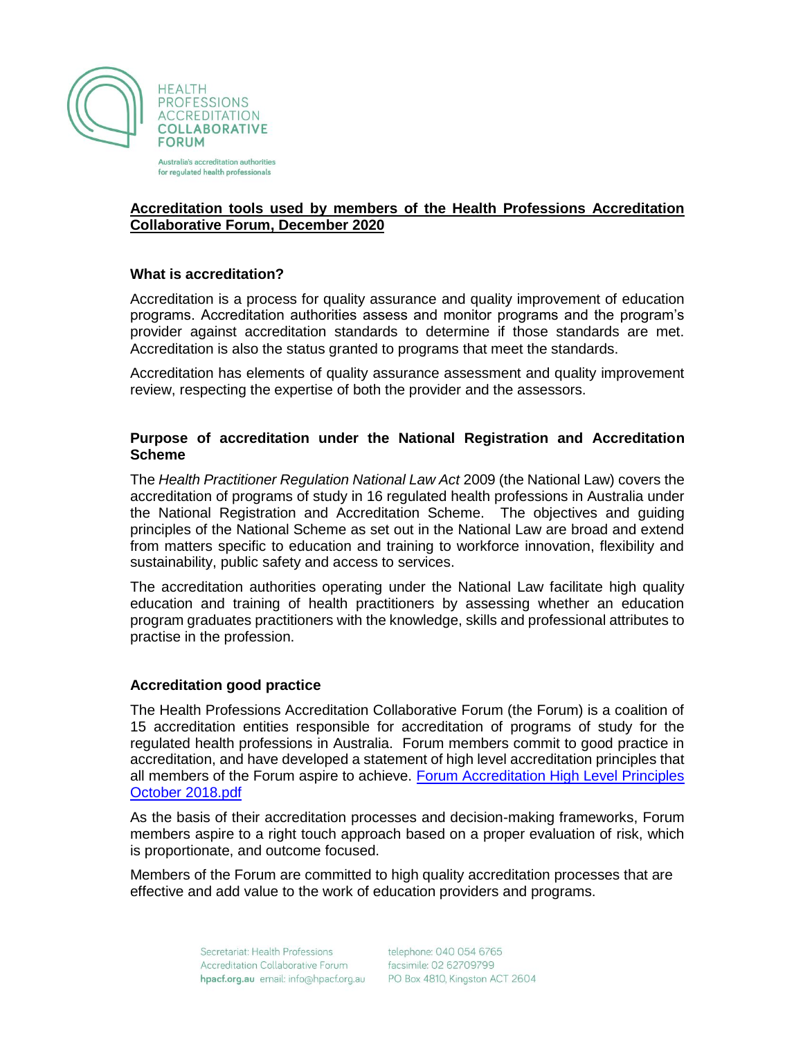

Australia's accreditation authorities for regulated health professionals

# **Accreditation tools used by members of the Health Professions Accreditation Collaborative Forum, December 2020**

# **What is accreditation?**

Accreditation is a process for quality assurance and quality improvement of education programs. Accreditation authorities assess and monitor programs and the program's provider against accreditation standards to determine if those standards are met. Accreditation is also the status granted to programs that meet the standards.

Accreditation has elements of quality assurance assessment and quality improvement review, respecting the expertise of both the provider and the assessors.

## **Purpose of accreditation under the National Registration and Accreditation Scheme**

The *Health Practitioner Regulation National Law Act* 2009 (the National Law) covers the accreditation of programs of study in 16 regulated health professions in Australia under the National Registration and Accreditation Scheme. The objectives and guiding principles of the National Scheme as set out in the National Law are broad and extend from matters specific to education and training to workforce innovation, flexibility and sustainability, public safety and access to services.

The accreditation authorities operating under the National Law facilitate high quality education and training of health practitioners by assessing whether an education program graduates practitioners with the knowledge, skills and professional attributes to practise in the profession.

### **Accreditation good practice**

The Health Professions Accreditation Collaborative Forum (the Forum) is a coalition of 15 accreditation entities responsible for accreditation of programs of study for the regulated health professions in Australia. Forum members commit to good practice in accreditation, and have developed a statement of high level accreditation principles that all members of the Forum aspire to achieve. [Forum Accreditation High Level Principles](http://hpacf.org.au/wp-content/uploads/2018/10/Forum-Accreditation-High-Level-Principles-June-2016-update-Oct-2018.pdf)  [October 2018.pdf](http://hpacf.org.au/wp-content/uploads/2018/10/Forum-Accreditation-High-Level-Principles-June-2016-update-Oct-2018.pdf)

As the basis of their accreditation processes and decision-making frameworks, Forum members aspire to a right touch approach based on a proper evaluation of risk, which is proportionate, and outcome focused.

Members of the Forum are committed to high quality accreditation processes that are effective and add value to the work of education providers and programs.

> Secretariat: Health Professions Accreditation Collaborative Forum hpacf.org.au email: info@hpacf.org.au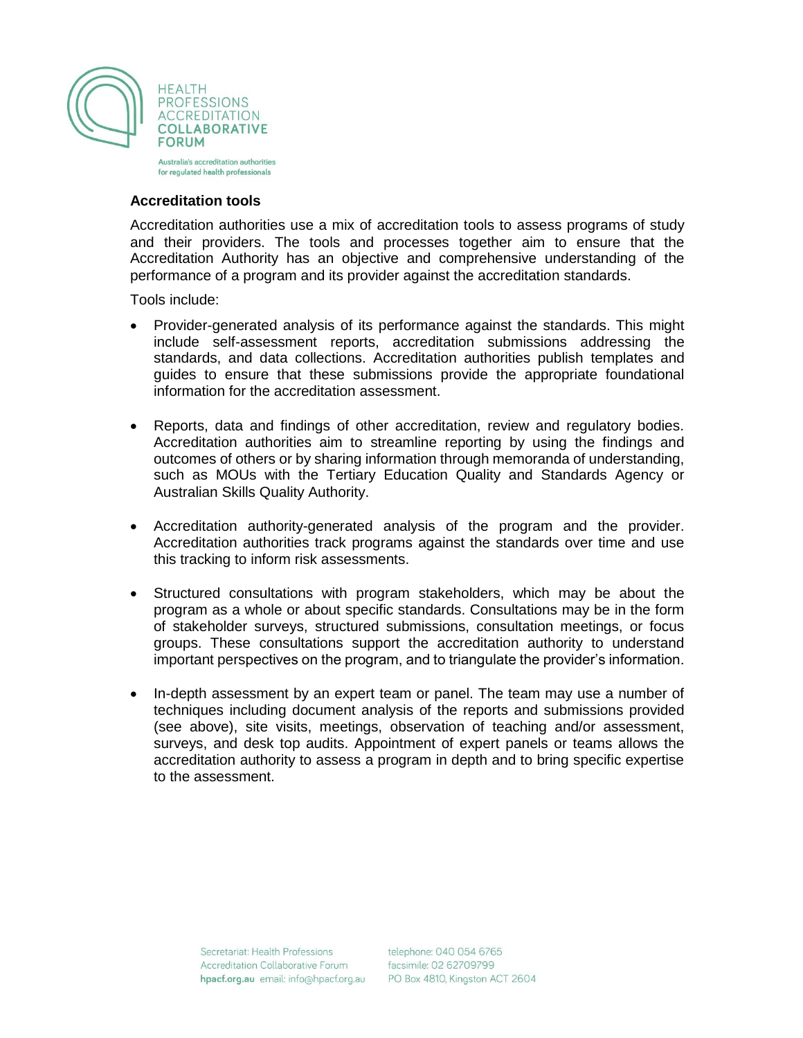

for regulated health professionals

### **Accreditation tools**

Accreditation authorities use a mix of accreditation tools to assess programs of study and their providers. The tools and processes together aim to ensure that the Accreditation Authority has an objective and comprehensive understanding of the performance of a program and its provider against the accreditation standards.

Tools include:

- Provider-generated analysis of its performance against the standards. This might include self-assessment reports, accreditation submissions addressing the standards, and data collections. Accreditation authorities publish templates and guides to ensure that these submissions provide the appropriate foundational information for the accreditation assessment.
- Reports, data and findings of other accreditation, review and regulatory bodies. Accreditation authorities aim to streamline reporting by using the findings and outcomes of others or by sharing information through memoranda of understanding, such as MOUs with the Tertiary Education Quality and Standards Agency or Australian Skills Quality Authority.
- Accreditation authority-generated analysis of the program and the provider. Accreditation authorities track programs against the standards over time and use this tracking to inform risk assessments.
- Structured consultations with program stakeholders, which may be about the program as a whole or about specific standards. Consultations may be in the form of stakeholder surveys, structured submissions, consultation meetings, or focus groups. These consultations support the accreditation authority to understand important perspectives on the program, and to triangulate the provider's information.
- In-depth assessment by an expert team or panel. The team may use a number of techniques including document analysis of the reports and submissions provided (see above), site visits, meetings, observation of teaching and/or assessment, surveys, and desk top audits. Appointment of expert panels or teams allows the accreditation authority to assess a program in depth and to bring specific expertise to the assessment.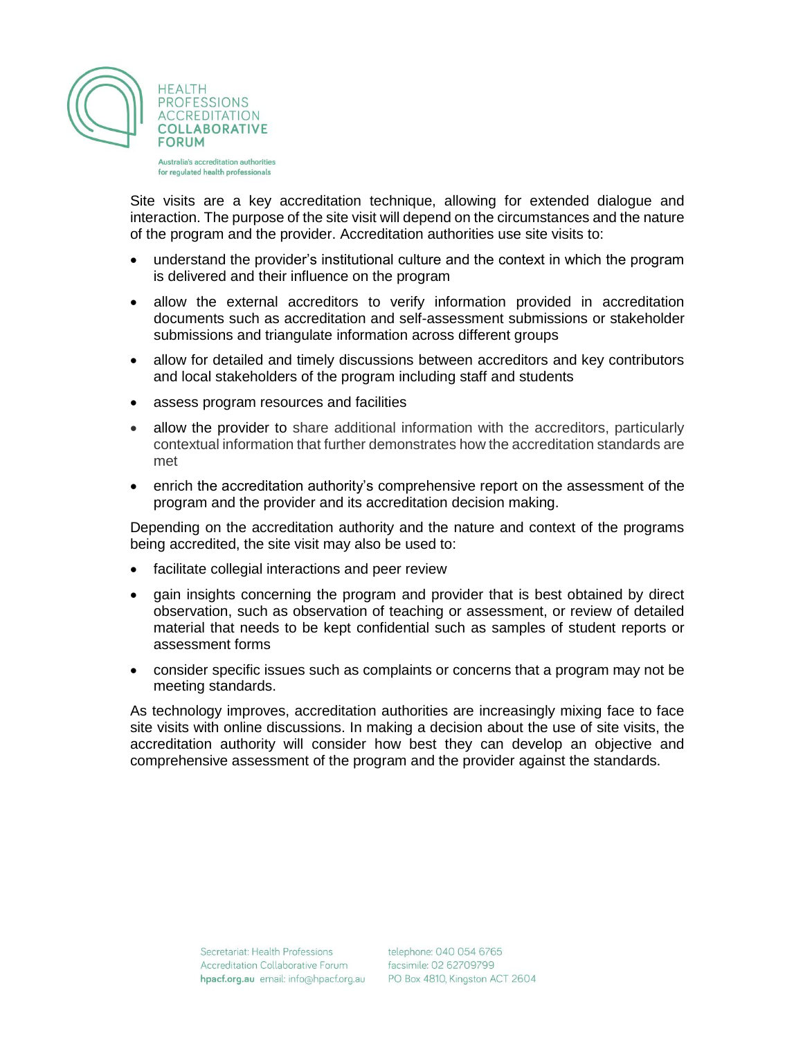

Australia's accreditation authorities for regulated health professionals

Site visits are a key accreditation technique, allowing for extended dialogue and interaction. The purpose of the site visit will depend on the circumstances and the nature of the program and the provider. Accreditation authorities use site visits to:

- understand the provider's institutional culture and the context in which the program is delivered and their influence on the program
- allow the external accreditors to verify information provided in accreditation documents such as accreditation and self-assessment submissions or stakeholder submissions and triangulate information across different groups
- allow for detailed and timely discussions between accreditors and key contributors and local stakeholders of the program including staff and students
- assess program resources and facilities
- allow the provider to share additional information with the accreditors, particularly contextual information that further demonstrates how the accreditation standards are met
- enrich the accreditation authority's comprehensive report on the assessment of the program and the provider and its accreditation decision making.

Depending on the accreditation authority and the nature and context of the programs being accredited, the site visit may also be used to:

- facilitate collegial interactions and peer review
- gain insights concerning the program and provider that is best obtained by direct observation, such as observation of teaching or assessment, or review of detailed material that needs to be kept confidential such as samples of student reports or assessment forms
- consider specific issues such as complaints or concerns that a program may not be meeting standards.

As technology improves, accreditation authorities are increasingly mixing face to face site visits with online discussions. In making a decision about the use of site visits, the accreditation authority will consider how best they can develop an objective and comprehensive assessment of the program and the provider against the standards.